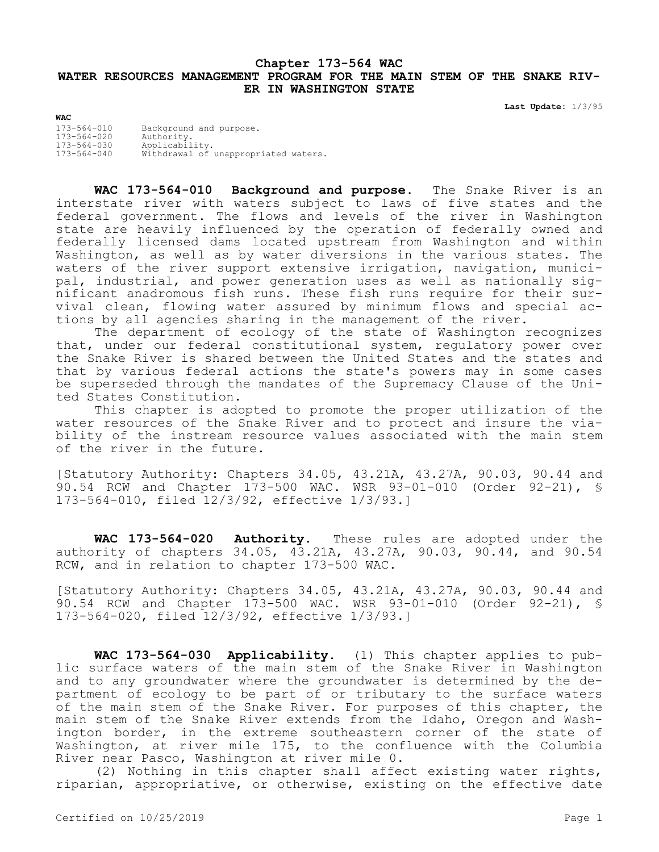## **Chapter 173-564 WAC WATER RESOURCES MANAGEMENT PROGRAM FOR THE MAIN STEM OF THE SNAKE RIV-ER IN WASHINGTON STATE**

**Last Update:** 1/3/95

| <b>WAC</b>                             |                                       |
|----------------------------------------|---------------------------------------|
| $173 - 564 - 010$<br>$173 - 564 - 020$ | Background and purpose.<br>Authority. |
| $173 - 564 - 030$                      | Applicability.                        |
| $173 - 564 - 040$                      | Withdrawal of unappropriated waters.  |

**WAC 173-564-010 Background and purpose.** The Snake River is an interstate river with waters subject to laws of five states and the federal government. The flows and levels of the river in Washington state are heavily influenced by the operation of federally owned and federally licensed dams located upstream from Washington and within Washington, as well as by water diversions in the various states. The waters of the river support extensive irrigation, navigation, municipal, industrial, and power generation uses as well as nationally significant anadromous fish runs. These fish runs require for their survival clean, flowing water assured by minimum flows and special actions by all agencies sharing in the management of the river.

The department of ecology of the state of Washington recognizes that, under our federal constitutional system, regulatory power over the Snake River is shared between the United States and the states and that by various federal actions the state's powers may in some cases be superseded through the mandates of the Supremacy Clause of the United States Constitution.

This chapter is adopted to promote the proper utilization of the water resources of the Snake River and to protect and insure the viability of the instream resource values associated with the main stem of the river in the future.

[Statutory Authority: Chapters 34.05, 43.21A, 43.27A, 90.03, 90.44 and 90.54 RCW and Chapter 173-500 WAC. WSR 93-01-010 (Order 92-21), § 173-564-010, filed 12/3/92, effective 1/3/93.]

**WAC 173-564-020 Authority.** These rules are adopted under the authority of chapters 34.05, 43.21A, 43.27A, 90.03, 90.44, and 90.54 RCW, and in relation to chapter 173-500 WAC.

[Statutory Authority: Chapters 34.05, 43.21A, 43.27A, 90.03, 90.44 and 90.54 RCW and Chapter 173-500 WAC. WSR 93-01-010 (Order 92-21), § 173-564-020, filed 12/3/92, effective 1/3/93.]

**WAC 173-564-030 Applicability.** (1) This chapter applies to public surface waters of the main stem of the Snake River in Washington and to any groundwater where the groundwater is determined by the department of ecology to be part of or tributary to the surface waters of the main stem of the Snake River. For purposes of this chapter, the main stem of the Snake River extends from the Idaho, Oregon and Washington border, in the extreme southeastern corner of the state of Washington, at river mile 175, to the confluence with the Columbia River near Pasco, Washington at river mile 0.

(2) Nothing in this chapter shall affect existing water rights, riparian, appropriative, or otherwise, existing on the effective date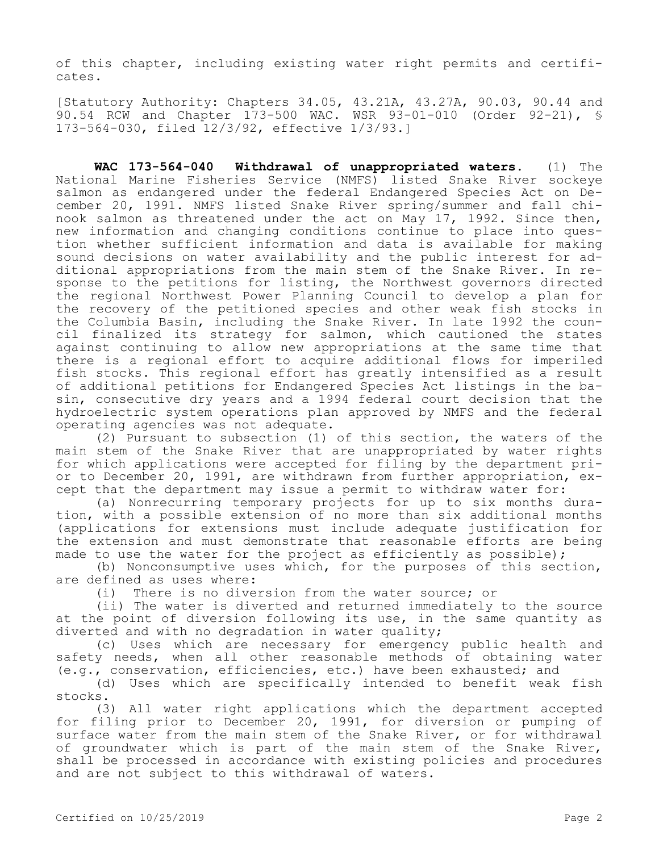of this chapter, including existing water right permits and certificates.

[Statutory Authority: Chapters 34.05, 43.21A, 43.27A, 90.03, 90.44 and 90.54 RCW and Chapter 173-500 WAC. WSR 93-01-010 (Order 92-21), § 173-564-030, filed 12/3/92, effective 1/3/93.]

**WAC 173-564-040 Withdrawal of unappropriated waters.** (1) The National Marine Fisheries Service (NMFS) listed Snake River sockeye salmon as endangered under the federal Endangered Species Act on December 20, 1991. NMFS listed Snake River spring/summer and fall chinook salmon as threatened under the act on May 17, 1992. Since then, new information and changing conditions continue to place into question whether sufficient information and data is available for making sound decisions on water availability and the public interest for additional appropriations from the main stem of the Snake River. In response to the petitions for listing, the Northwest governors directed the regional Northwest Power Planning Council to develop a plan for the recovery of the petitioned species and other weak fish stocks in the Columbia Basin, including the Snake River. In late 1992 the council finalized its strategy for salmon, which cautioned the states against continuing to allow new appropriations at the same time that there is a regional effort to acquire additional flows for imperiled fish stocks. This regional effort has greatly intensified as a result of additional petitions for Endangered Species Act listings in the basin, consecutive dry years and a 1994 federal court decision that the hydroelectric system operations plan approved by NMFS and the federal operating agencies was not adequate.

(2) Pursuant to subsection (1) of this section, the waters of the main stem of the Snake River that are unappropriated by water rights for which applications were accepted for filing by the department prior to December 20, 1991, are withdrawn from further appropriation, except that the department may issue a permit to withdraw water for:

(a) Nonrecurring temporary projects for up to six months duration, with a possible extension of no more than six additional months (applications for extensions must include adequate justification for the extension and must demonstrate that reasonable efforts are being made to use the water for the project as efficiently as possible);

(b) Nonconsumptive uses which, for the purposes of this section, are defined as uses where:

(i) There is no diversion from the water source; or

(ii) The water is diverted and returned immediately to the source at the point of diversion following its use, in the same quantity as diverted and with no degradation in water quality;

(c) Uses which are necessary for emergency public health and safety needs, when all other reasonable methods of obtaining water (e.g., conservation, efficiencies, etc.) have been exhausted; and

(d) Uses which are specifically intended to benefit weak fish stocks.

(3) All water right applications which the department accepted for filing prior to December 20, 1991, for diversion or pumping of surface water from the main stem of the Snake River, or for withdrawal of groundwater which is part of the main stem of the Snake River, shall be processed in accordance with existing policies and procedures and are not subject to this withdrawal of waters.